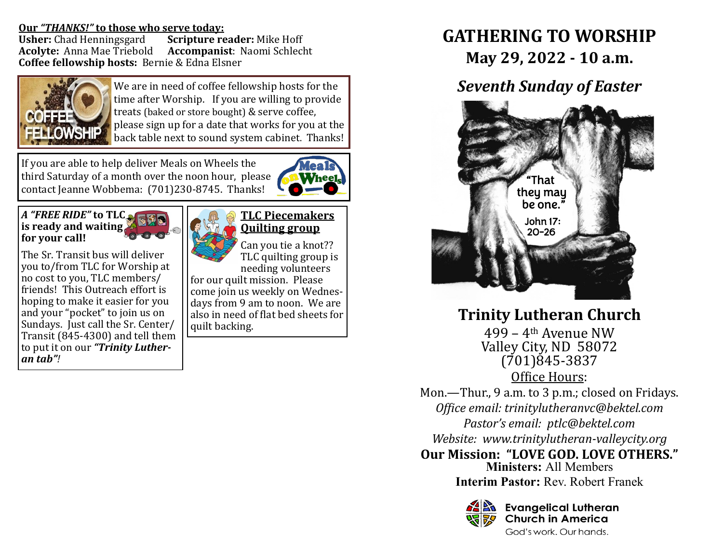## **Our** *"THANKS!"* **to those who serve today:**

**Usher:** Chad Henningsgard **Scripture reader:** Mike Hoff **Acolyte:** Anna Mae Triebold **Accompanist**: Naomi Schlecht **Coffee fellowship hosts:** Bernie & Edna Elsner



We are in need of coffee fellowship hosts for the time after Worship. If you are willing to provide treats (baked or store bought) & serve coffee, please sign up for a date that works for you at the back table next to sound system cabinet. Thanks!

If you are able to help deliver Meals on Wheels the third Saturday of a month over the noon hour, please contact Jeanne Wobbema: (701)230-8745. Thanks!



### *A "FREE RIDE"* **to TLC is ready and waiting for your call!**

The Sr. Transit bus will deliver you to/from TLC for Worship at no cost to you, TLC members/ friends! This Outreach effort is hoping to make it easier for you and your "pocket" to join us on Sundays. Just call the Sr. Center/ Transit (845-4300) and tell them to put it on our *"Trinity Lutheran tab"!*



# **TLC Piecemakers Quilting group**

Can you tie a knot?? TLC quilting group is

needing volunteers for our quilt mission. Please come join us weekly on Wednesdays from 9 am to noon. We are also in need of flat bed sheets for quilt backing.

# **GATHERING TO WORSHIP May 29, 2022 - 10 a.m.**

# *Seventh Sunday of Easter*



**Trinity Lutheran Church**

499 – 4th Avenue NW Valley City, ND 58072 (701)845-3837 Office Hours:

Mon.—Thur., 9 a.m. to 3 p.m.; closed on Fridays. *Office email: trinitylutheranvc@bektel.com Pastor's email: ptlc@bektel.com Website: www.trinitylutheran-valleycity.org*

**Our Mission: "LOVE GOD. LOVE OTHERS." Ministers:** All Members

**Interim Pastor:** Rev. Robert Franek



**B** Evangelical Lutheran **Church in America** God's work, Our hands,